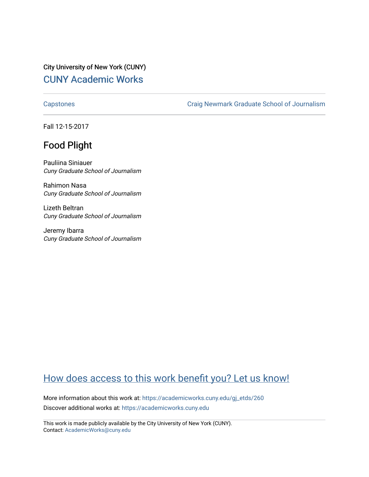City University of New York (CUNY) [CUNY Academic Works](https://academicworks.cuny.edu/) 

[Capstones](https://academicworks.cuny.edu/gj_etds) [Craig Newmark Graduate School of Journalism](https://academicworks.cuny.edu/gj) 

Fall 12-15-2017

## Food Plight

Pauliina Siniauer Cuny Graduate School of Journalism

Rahimon Nasa Cuny Graduate School of Journalism

Lizeth Beltran Cuny Graduate School of Journalism

Jeremy Ibarra Cuny Graduate School of Journalism

# [How does access to this work benefit you? Let us know!](http://ols.cuny.edu/academicworks/?ref=https://academicworks.cuny.edu/gj_etds/260)

More information about this work at: [https://academicworks.cuny.edu/gj\\_etds/260](https://academicworks.cuny.edu/gj_etds/260)  Discover additional works at: [https://academicworks.cuny.edu](https://academicworks.cuny.edu/?)

This work is made publicly available by the City University of New York (CUNY). Contact: [AcademicWorks@cuny.edu](mailto:AcademicWorks@cuny.edu)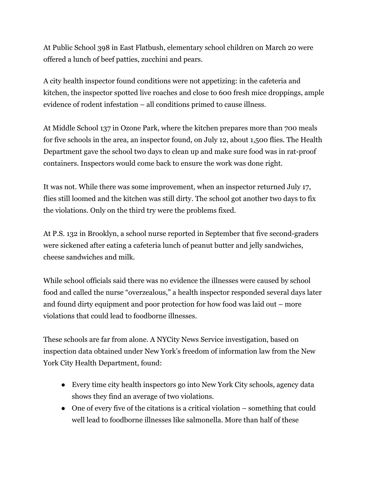At Public School 398 in East Flatbush, elementary school children on March 20 were offered a lunch of beef patties, zucchini and pears.

A city health inspector found conditions were not appetizing: in the cafeteria and kitchen, the inspector spotted live roaches and close to 600 fresh mice droppings, ample evidence of rodent infestation – all conditions primed to cause illness.

At Middle School 137 in Ozone Park, where the kitchen prepares more than 700 meals for five schools in the area, an inspector found, on July 12, about 1,500 flies. The Health Department gave the school two days to clean up and make sure food was in rat-proof containers. Inspectors would come back to ensure the work was done right.

It was not. While there was some improvement, when an inspector returned July 17, flies still loomed and the kitchen was still dirty. The school got another two days to fix the violations. Only on the third try were the problems fixed.

At P.S. 132 in Brooklyn, a school nurse reported in September that five second-graders were sickened after eating a cafeteria lunch of peanut butter and jelly sandwiches, cheese sandwiches and milk.

While school officials said there was no evidence the illnesses were caused by school food and called the nurse "overzealous," a health inspector responded several days later and found dirty equipment and poor protection for how food was laid out – more violations that could lead to foodborne illnesses.

These schools are far from alone. A NYCity News Service investigation, based on inspection data obtained under New York's freedom of information law from the New York City Health Department, found:

- Every time city health inspectors go into New York City schools, agency data shows they find an average of two violations.
- One of every five of the citations is a critical violation something that could well lead to foodborne illnesses like salmonella. More than half of these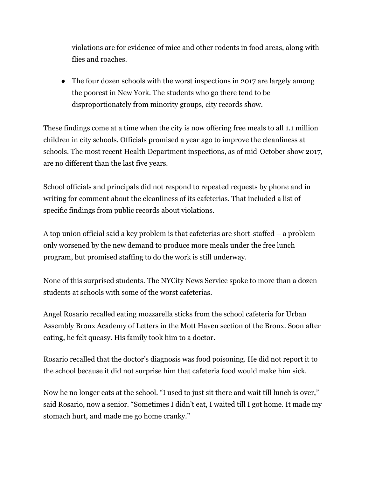violations are for evidence of mice and other rodents in food areas, along with flies and roaches.

• The four dozen schools with the worst inspections in 2017 are largely among the poorest in New York. The students who go there tend to be disproportionately from minority groups, city records show.

These findings come at a time when the city is now offering free meals to all 1.1 million children in city schools. Officials promised a year ago to improve the cleanliness at schools. The most recent Health Department inspections, as of mid-October show 2017, are no different than the last five years.

School officials and principals did not respond to repeated requests by phone and in writing for comment about the cleanliness of its cafeterias. That included a list of specific findings from public records about violations.

A top union official said a key problem is that cafeterias are short-staffed – a problem only worsened by the new demand to produce more meals under the free lunch program, but promised staffing to do the work is still underway.

None of this surprised students. The NYCity News Service spoke to more than a dozen students at schools with some of the worst cafeterias.

Angel Rosario recalled eating mozzarella sticks from the school cafeteria for Urban Assembly Bronx Academy of Letters in the Mott Haven section of the Bronx. Soon after eating, he felt queasy. His family took him to a doctor.

Rosario recalled that the doctor's diagnosis was food poisoning. He did not report it to the school because it did not surprise him that cafeteria food would make him sick.

Now he no longer eats at the school. "I used to just sit there and wait till lunch is over," said Rosario, now a senior. "Sometimes I didn't eat, I waited till I got home. It made my stomach hurt, and made me go home cranky."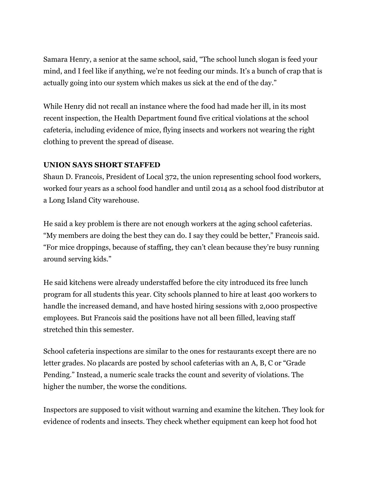Samara Henry, a senior at the same school, said, "The school lunch slogan is feed your mind, and I feel like if anything, we're not feeding our minds. It's a bunch of crap that is actually going into our system which makes us sick at the end of the day."

While Henry did not recall an instance where the food had made her ill, in its most recent inspection, the Health Department found five critical violations at the school cafeteria, including evidence of mice, flying insects and workers not wearing the right clothing to prevent the spread of disease.

## **UNION SAYS SHORT STAFFED**

Shaun D. Francois, President of Local 372, the union representing school food workers, worked four years as a school food handler and until 2014 as a school food distributor at a Long Island City warehouse.

He said a key problem is there are not enough workers at the aging school cafeterias. "My members are doing the best they can do. I say they could be better," Francois said. "For mice droppings, because of staffing, they can't clean because they're busy running around serving kids."

He said kitchens were already understaffed before the city introduced its free lunch program for all students this year. City schools planned to hire at least 400 workers to handle the increased demand, and have hosted hiring sessions with 2,000 prospective employees. But Francois said the positions have not all been filled, leaving staff stretched thin this semester.

School cafeteria inspections are similar to the ones for restaurants except there are no letter grades. No placards are posted by school cafeterias with an A, B, C or "Grade Pending." Instead, a numeric scale tracks the count and severity of violations. The higher the number, the worse the conditions.

Inspectors are supposed to visit without warning and examine the kitchen. They look for evidence of rodents and insects. They check whether equipment can keep hot food hot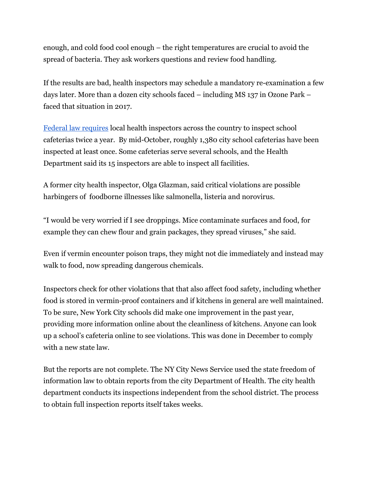enough, and cold food cool enough – the right temperatures are crucial to avoid the spread of bacteria. They ask workers questions and review food handling.

If the results are bad, health inspectors may schedule a mandatory re-examination a few days later. More than a dozen city schools faced – including MS 137 in Ozone Park – faced that situation in 2017.

Federal law [requires](https://fns-prod.azureedge.net/sites/default/files/TalkingPointsonSchoolMealSafety.pdf) local health inspectors across the country to inspect school cafeterias twice a year. By mid-October, roughly 1,380 city school cafeterias have been inspected at least once. Some cafeterias serve several schools, and the Health Department said its 15 inspectors are able to inspect all facilities.

A former city health inspector, Olga Glazman, said critical violations are possible harbingers of foodborne illnesses like salmonella, listeria and norovirus.

"I would be very worried if I see droppings. Mice contaminate surfaces and food, for example they can chew flour and grain packages, they spread viruses," she said.

Even if vermin encounter poison traps, they might not die immediately and instead may walk to food, now spreading dangerous chemicals.

Inspectors check for other violations that that also affect food safety, including whether food is stored in vermin-proof containers and if kitchens in general are well maintained. To be sure, New York City schools did make one improvement in the past year, providing more information online about the cleanliness of kitchens. Anyone can look up a school's cafeteria online to see violations. This was done in December to comply with a new state law.

But the reports are not complete. The NY City News Service used the state freedom of information law to obtain reports from the city Department of Health. The city health department conducts its inspections independent from the school district. The process to obtain full inspection reports itself takes weeks.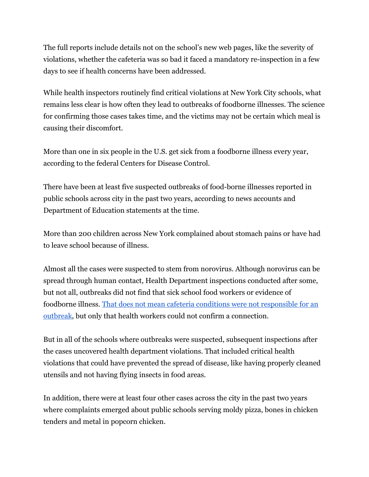The full reports include details not on the school's new web pages, like the severity of violations, whether the cafeteria was so bad it faced a mandatory re-inspection in a few days to see if health concerns have been addressed.

While health inspectors routinely find critical violations at New York City schools, what remains less clear is how often they lead to outbreaks of foodborne illnesses. The science for confirming those cases takes time, and the victims may not be certain which meal is causing their discomfort.

More than one in six people in the U.S. get sick from a foodborne illness every year, according to the federal Centers for Disease Control.

There have been at least five suspected outbreaks of food-borne illnesses reported in public schools across city in the past two years, according to news accounts and Department of Education statements at the time.

More than 200 children across New York complained about stomach pains or have had to leave school because of illness.

Almost all the cases were suspected to stem from norovirus. Although norovirus can be spread through human contact, Health Department inspections conducted after some, but not all, outbreaks did not find that sick school food workers or evidence of foodborne illness. [T](https://www.cdc.gov/norovirus/php/responding.html)hat does not mean cafeteria conditions were not [responsible](https://www.cdc.gov/norovirus/php/responding.html) for an [outbreak](https://www.cdc.gov/norovirus/php/responding.html), but only that health workers could not confirm a connection.

But in all of the schools where outbreaks were suspected, subsequent inspections after the cases uncovered health department violations. That included critical health violations that could have prevented the spread of disease, like having properly cleaned utensils and not having flying insects in food areas.

In addition, there were at least four other cases across the city in the past two years where complaints emerged about public schools serving moldy pizza, bones in chicken tenders and metal in popcorn chicken.